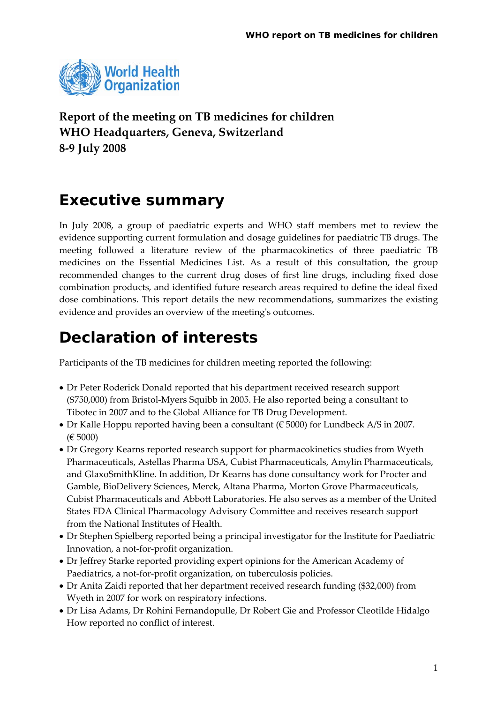

**Report of the meeting on TB medicines for children WHO Headquarters, Geneva, Switzerland 8‐9 July 2008**

# **Executive summary**

In July 2008, a group of paediatric experts and WHO staff members met to review the evidence supporting current formulation and dosage guidelines for paediatric TB drugs. The meeting followed a literature review of the pharmacokinetics of three paediatric TB medicines on the Essential Medicines List. As a result of this consultation, the group recommended changes to the current drug doses of first line drugs, including fixed dose combination products, and identified future research areas required to define the ideal fixed dose combinations. This report details the new recommendations, summarizes the existing evidence and provides an overview of the meeting's outcomes.

# **Declaration of interests**

Participants of the TB medicines for children meeting reported the following:

- Dr Peter Roderick Donald reported that his department received research support (\$750,000) from Bristol‐Myers Squibb in 2005. He also reported being a consultant to Tibotec in 2007 and to the Global Alliance for TB Drug Development.
- Dr Kalle Hoppu reported having been a consultant ( $\epsilon$  5000) for Lundbeck A/S in 2007. (€ 5000)
- Dr Gregory Kearns reported research support for pharmacokinetics studies from Wyeth Pharmaceuticals, Astellas Pharma USA, Cubist Pharmaceuticals, Amylin Pharmaceuticals, and GlaxoSmithKline. In addition, Dr Kearns has done consultancy work for Procter and Gamble, BioDelivery Sciences, Merck, Altana Pharma, Morton Grove Pharmaceuticals, Cubist Pharmaceuticals and Abbott Laboratories. He also serves as a member of the United States FDA Clinical Pharmacology Advisory Committee and receives research support from the National Institutes of Health.
- Dr Stephen Spielberg reported being a principal investigator for the Institute for Paediatric Innovation, a not‐for‐profit organization.
- Dr Jeffrey Starke reported providing expert opinions for the American Academy of Paediatrics, a not-for-profit organization, on tuberculosis policies.
- Dr Anita Zaidi reported that her department received research funding (\$32,000) from Wyeth in 2007 for work on respiratory infections.
- Dr Lisa Adams, Dr Rohini Fernandopulle, Dr Robert Gie and Professor Cleotilde Hidalgo How reported no conflict of interest.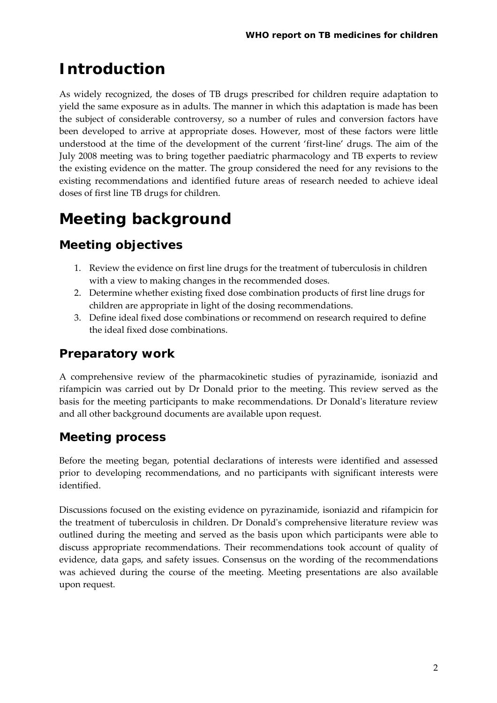# **Introduction**

As widely recognized, the doses of TB drugs prescribed for children require adaptation to yield the same exposure as in adults. The manner in which this adaptation is made has been the subject of considerable controversy, so a number of rules and conversion factors have been developed to arrive at appropriate doses. However, most of these factors were little understood at the time of the development of the current 'first‐line' drugs. The aim of the July 2008 meeting was to bring together paediatric pharmacology and TB experts to review the existing evidence on the matter. The group considered the need for any revisions to the existing recommendations and identified future areas of research needed to achieve ideal doses of first line TB drugs for children.

# **Meeting background**

## **Meeting objectives**

- 1. Review the evidence on first line drugs for the treatment of tuberculosis in children with a view to making changes in the recommended doses.
- 2. Determine whether existing fixed dose combination products of first line drugs for children are appropriate in light of the dosing recommendations.
- 3. Define ideal fixed dose combinations or recommend on research required to define the ideal fixed dose combinations.

### **Preparatory work**

A comprehensive review of the pharmacokinetic studies of pyrazinamide, isoniazid and rifampicin was carried out by Dr Donald prior to the meeting. This review served as the basis for the meeting participants to make recommendations. Dr Donaldʹs literature review and all other background documents are available upon request.

### **Meeting process**

Before the meeting began, potential declarations of interests were identified and assessed prior to developing recommendations, and no participants with significant interests were identified.

Discussions focused on the existing evidence on pyrazinamide, isoniazid and rifampicin for the treatment of tuberculosis in children. Dr Donaldʹs comprehensive literature review was outlined during the meeting and served as the basis upon which participants were able to discuss appropriate recommendations. Their recommendations took account of quality of evidence, data gaps, and safety issues. Consensus on the wording of the recommendations was achieved during the course of the meeting. Meeting presentations are also available upon request.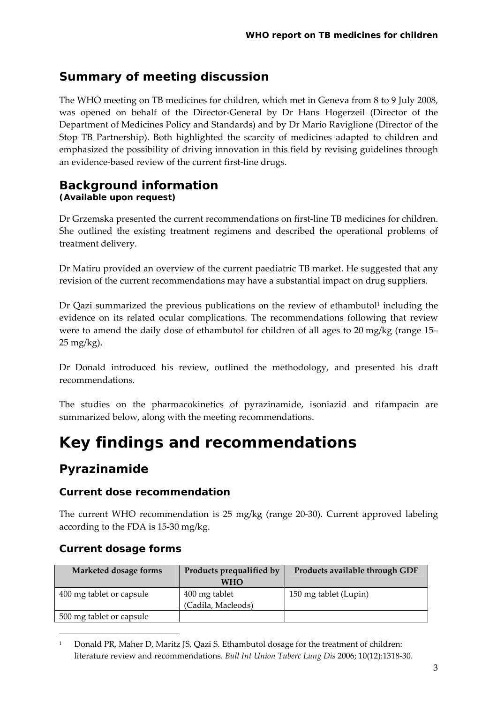## **Summary of meeting discussion**

The WHO meeting on TB medicines for children, which met in Geneva from 8 to 9 July 2008, was opened on behalf of the Director‐General by Dr Hans Hogerzeil (Director of the Department of Medicines Policy and Standards) and by Dr Mario Raviglione (Director of the Stop TB Partnership). Both highlighted the scarcity of medicines adapted to children and emphasized the possibility of driving innovation in this field by revising guidelines through an evidence‐based review of the current first‐line drugs.

#### **Background information (Available upon request)**

Dr Grzemska presented the current recommendations on first‐line TB medicines for children. She outlined the existing treatment regimens and described the operational problems of treatment delivery.

Dr Matiru provided an overview of the current paediatric TB market. He suggested that any revision of the current recommendations may have a substantial impact on drug suppliers.

Dr Qazi summarized the previous publications on the review of ethambutol<sup>[1](#page-2-0)</sup> including the evidence on its related ocular complications. The recommendations following that review were to amend the daily dose of ethambutol for children of all ages to 20 mg/kg (range 15– 25 mg/kg).

Dr Donald introduced his review, outlined the methodology, and presented his draft recommendations.

The studies on the pharmacokinetics of pyrazinamide, isoniazid and rifampacin are summarized below, along with the meeting recommendations.

# **Key findings and recommendations**

### **Pyrazinamide**

#### **Current dose recommendation**

The current WHO recommendation is 25 mg/kg (range 20‐30). Current approved labeling according to the FDA is 15‐30 mg/kg.

#### **Current dosage forms**

<u> 1989 - Johann Barn, mars eta bainar eta politikaria (h. 1989).</u>

| Marketed dosage forms    | Products prequalified by | Products available through GDF |
|--------------------------|--------------------------|--------------------------------|
|                          | <b>WHO</b>               |                                |
| 400 mg tablet or capsule | 400 mg tablet            | 150 mg tablet (Lupin)          |
|                          | (Cadila, Macleods)       |                                |
| 500 mg tablet or capsule |                          |                                |

<span id="page-2-0"></span><sup>1</sup> Donald PR, Maher D, Maritz JS, Qazi S. Ethambutol dosage for the treatment of children: literature review and recommendations. *Bull Int Union Tuberc Lung Dis* 2006; 10(12):1318‐30.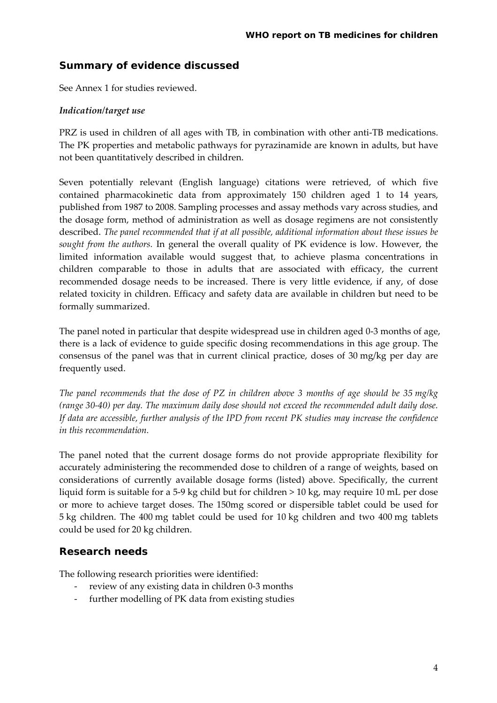#### **Summary of evidence discussed**

See Annex 1 for studies reviewed.

#### *Indication/target use*

PRZ is used in children of all ages with TB, in combination with other anti‐TB medications. The PK properties and metabolic pathways for pyrazinamide are known in adults, but have not been quantitatively described in children.

Seven potentially relevant (English language) citations were retrieved, of which five contained pharmacokinetic data from approximately 150 children aged 1 to 14 years, published from 1987 to 2008. Sampling processes and assay methods vary across studies, and the dosage form, method of administration as well as dosage regimens are not consistently described. *The panel recommended that if at all possible, additional information about these issues be sought from the authors.* In general the overall quality of PK evidence is low. However, the limited information available would suggest that, to achieve plasma concentrations in children comparable to those in adults that are associated with efficacy, the current recommended dosage needs to be increased. There is very little evidence, if any, of dose related toxicity in children. Efficacy and safety data are available in children but need to be formally summarized.

The panel noted in particular that despite widespread use in children aged 0‐3 months of age, there is a lack of evidence to guide specific dosing recommendations in this age group. The consensus of the panel was that in current clinical practice, doses of 30 mg/kg per day are frequently used.

The panel recommends that the dose of PZ in children above 3 months of age should be 35 mg/kg *(range 30‐40) per day. The maximum daily dose should not exceed the recommended adult daily dose. If data are accessible, further analysis of the IPD from recent PK studies may increase the confidence in this recommendation.* 

The panel noted that the current dosage forms do not provide appropriate flexibility for accurately administering the recommended dose to children of a range of weights, based on considerations of currently available dosage forms (listed) above. Specifically, the current liquid form is suitable for a 5‐9 kg child but for children > 10 kg, may require 10 mL per dose or more to achieve target doses. The 150mg scored or dispersible tablet could be used for 5 kg children. The 400 mg tablet could be used for 10 kg children and two 400 mg tablets could be used for 20 kg children.

#### **Research needs**

The following research priorities were identified:

- ‐ review of any existing data in children 0‐3 months
- further modelling of PK data from existing studies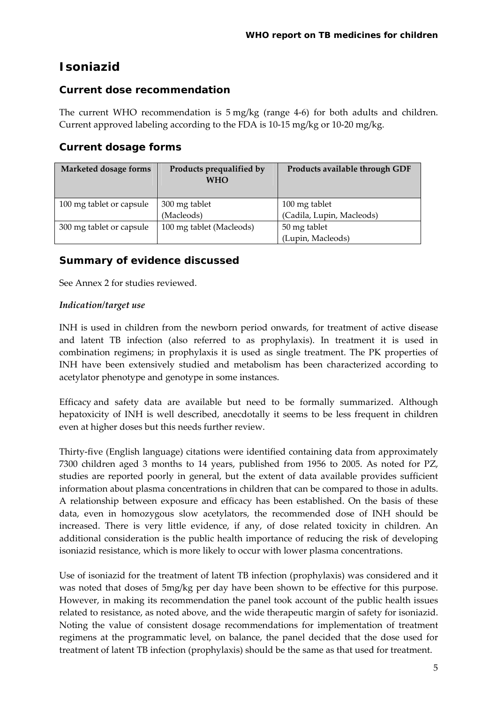## **Isoniazid**

#### **Current dose recommendation**

The current WHO recommendation is 5 mg/kg (range 4‐6) for both adults and children. Current approved labeling according to the FDA is 10-15 mg/kg or 10-20 mg/kg.

#### **Current dosage forms**

| Marketed dosage forms    | Products prequalified by<br><b>WHO</b> | Products available through GDF |
|--------------------------|----------------------------------------|--------------------------------|
| 100 mg tablet or capsule | 300 mg tablet                          | 100 mg tablet                  |
|                          | (Macleods)                             | (Cadila, Lupin, Macleods)      |
| 300 mg tablet or capsule | 100 mg tablet (Macleods)               | 50 mg tablet                   |
|                          |                                        | (Lupin, Macleods)              |

#### **Summary of evidence discussed**

See Annex 2 for studies reviewed.

#### *Indication/target use*

INH is used in children from the newborn period onwards, for treatment of active disease and latent TB infection (also referred to as prophylaxis). In treatment it is used in combination regimens; in prophylaxis it is used as single treatment. The PK properties of INH have been extensively studied and metabolism has been characterized according to acetylator phenotype and genotype in some instances.

Efficacy and safety data are available but need to be formally summarized. Although hepatoxicity of INH is well described, anecdotally it seems to be less frequent in children even at higher doses but this needs further review.

Thirty‐five (English language) citations were identified containing data from approximately 7300 children aged 3 months to 14 years, published from 1956 to 2005. As noted for PZ, studies are reported poorly in general, but the extent of data available provides sufficient information about plasma concentrations in children that can be compared to those in adults. A relationship between exposure and efficacy has been established. On the basis of these data, even in homozygous slow acetylators, the recommended dose of INH should be increased. There is very little evidence, if any, of dose related toxicity in children. An additional consideration is the public health importance of reducing the risk of developing isoniazid resistance, which is more likely to occur with lower plasma concentrations.

Use of isoniazid for the treatment of latent TB infection (prophylaxis) was considered and it was noted that doses of 5mg/kg per day have been shown to be effective for this purpose. However, in making its recommendation the panel took account of the public health issues related to resistance, as noted above, and the wide therapeutic margin of safety for isoniazid. Noting the value of consistent dosage recommendations for implementation of treatment regimens at the programmatic level, on balance, the panel decided that the dose used for treatment of latent TB infection (prophylaxis) should be the same as that used for treatment.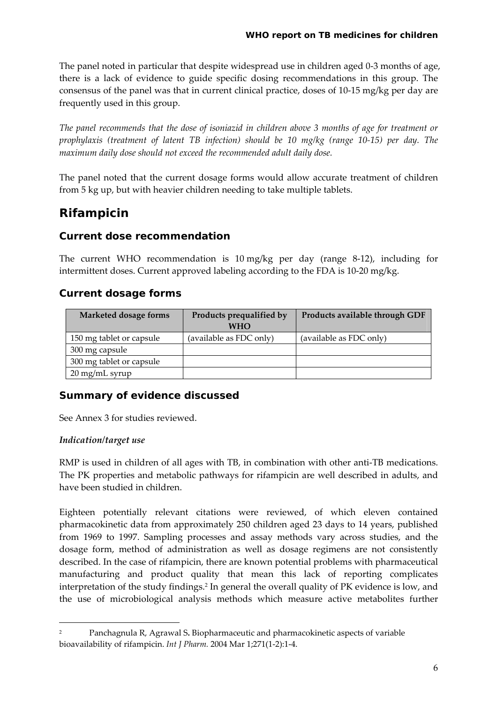The panel noted in particular that despite widespread use in children aged 0‐3 months of age, there is a lack of evidence to guide specific dosing recommendations in this group. The consensus of the panel was that in current clinical practice, doses of 10‐15 mg/kg per day are frequently used in this group.

*The panel recommends that the dose of isoniazid in children above 3 months of age for treatment or prophylaxis (treatment of latent TB infection) should be 10 mg/kg (range 10‐15) per day. The maximum daily dose should not exceed the recommended adult daily dose.* 

The panel noted that the current dosage forms would allow accurate treatment of children from 5 kg up, but with heavier children needing to take multiple tablets.

## **Rifampicin**

#### **Current dose recommendation**

The current WHO recommendation is 10 mg/kg per day (range 8‐12), including for intermittent doses. Current approved labeling according to the FDA is 10‐20 mg/kg.

#### **Current dosage forms**

| Marketed dosage forms    | Products prequalified by<br><b>WHO</b> | Products available through GDF |
|--------------------------|----------------------------------------|--------------------------------|
| 150 mg tablet or capsule | (available as FDC only)                | (available as FDC only)        |
| 300 mg capsule           |                                        |                                |
| 300 mg tablet or capsule |                                        |                                |
| 20 mg/mL syrup           |                                        |                                |

#### **Summary of evidence discussed**

See Annex 3 for studies reviewed.

<u> 1989 - Johann Barn, mars eta bainar eta politikaria (h. 1989).</u>

#### *Indication/target use*

RMP is used in children of all ages with TB, in combination with other anti‐TB medications. The PK properties and metabolic pathways for rifampicin are well described in adults, and have been studied in children.

Eighteen potentially relevant citations were reviewed, of which eleven contained pharmacokinetic data from approximately 250 children aged 23 days to 14 years, published from 1969 to 1997. Sampling processes and assay methods vary across studies, and the dosage form, method of administration as well as dosage regimens are not consistently described. In the case of rifampicin, there are known potential problems with pharmaceutical manufacturing and product quality that mean this lack of reporting complicates interpretation of the study findings.[2](#page-5-0) In general the overall quality of PK evidence is low, and the use of microbiological analysis methods which measure active metabolites further

<span id="page-5-0"></span><sup>2</sup> [Panchagnula](http://www.ncbi.nlm.nih.gov/sites/entrez?Db=pubmed&Cmd=Search&Term=%22Panchagnula%20R%22%5BAuthor%5D&itool=Email.EmailReport.Pubmed_ReportSelector.Pubmed_DiscoveryPanel.Pubmed_RVAbstractPlus) R, [Agrawal](http://www.ncbi.nlm.nih.gov/sites/entrez?Db=pubmed&Cmd=Search&Term=%22Agrawal%20S%22%5BAuthor%5D&itool=Email.EmailReport.Pubmed_ReportSelector.Pubmed_DiscoveryPanel.Pubmed_RVAbstractPlus) S**.** Biopharmaceutic and pharmacokinetic aspects of variable bioavailability of rifampicin. *Int J Pharm.* 2004 Mar 1;271(1‐2):1‐4.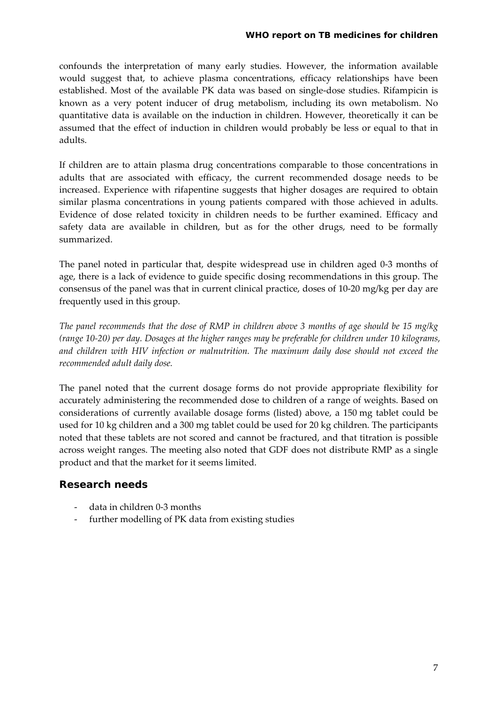confounds the interpretation of many early studies. However, the information available would suggest that, to achieve plasma concentrations, efficacy relationships have been established. Most of the available PK data was based on single‐dose studies. Rifampicin is known as a very potent inducer of drug metabolism, including its own metabolism. No quantitative data is available on the induction in children. However, theoretically it can be assumed that the effect of induction in children would probably be less or equal to that in adults.

If children are to attain plasma drug concentrations comparable to those concentrations in adults that are associated with efficacy, the current recommended dosage needs to be increased. Experience with rifapentine suggests that higher dosages are required to obtain similar plasma concentrations in young patients compared with those achieved in adults. Evidence of dose related toxicity in children needs to be further examined. Efficacy and safety data are available in children, but as for the other drugs, need to be formally summarized.

The panel noted in particular that, despite widespread use in children aged 0‐3 months of age, there is a lack of evidence to guide specific dosing recommendations in this group. The consensus of the panel was that in current clinical practice, doses of 10‐20 mg/kg per day are frequently used in this group.

The panel recommends that the dose of RMP in children above 3 months of age should be 15 mg/kg (range 10-20) per day. Dosages at the higher ranges may be preferable for children under 10 kilograms, *and children with HIV infection or malnutrition. The maximum daily dose should not exceed the recommended adult daily dose.* 

The panel noted that the current dosage forms do not provide appropriate flexibility for accurately administering the recommended dose to children of a range of weights. Based on considerations of currently available dosage forms (listed) above, a 150 mg tablet could be used for 10 kg children and a 300 mg tablet could be used for 20 kg children. The participants noted that these tablets are not scored and cannot be fractured, and that titration is possible across weight ranges. The meeting also noted that GDF does not distribute RMP as a single product and that the market for it seems limited.

#### **Research needs**

- ‐ data in children 0‐3 months
- ‐ further modelling of PK data from existing studies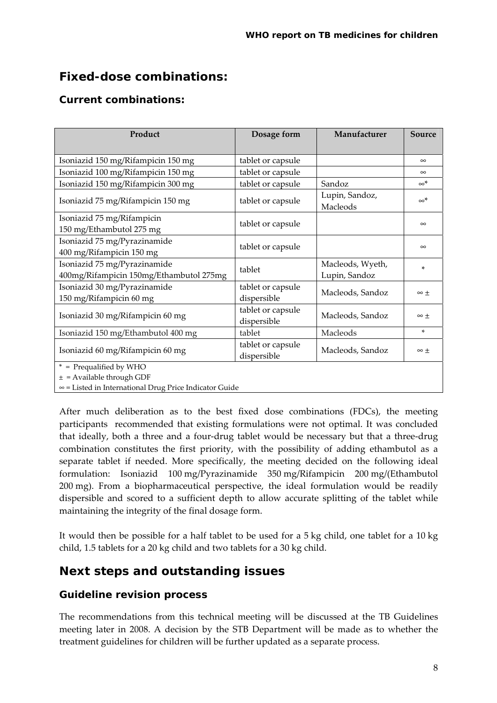## **Fixed-dose combinations:**

#### **Current combinations:**

| Product                                                                                                                   | Dosage form                      | Manufacturer                      | Source         |
|---------------------------------------------------------------------------------------------------------------------------|----------------------------------|-----------------------------------|----------------|
|                                                                                                                           |                                  |                                   |                |
| Isoniazid 150 mg/Rifampicin 150 mg                                                                                        | tablet or capsule                |                                   | $\infty$       |
| Isoniazid 100 mg/Rifampicin 150 mg                                                                                        | tablet or capsule                |                                   | $\infty$       |
| Isoniazid 150 mg/Rifampicin 300 mg                                                                                        | tablet or capsule                | Sandoz                            | $\infty^*$     |
| Isoniazid 75 mg/Rifampicin 150 mg                                                                                         | tablet or capsule                | Lupin, Sandoz,<br>Macleods        | $\infty^*$     |
| Isoniazid 75 mg/Rifampicin<br>150 mg/Ethambutol 275 mg                                                                    | tablet or capsule                |                                   | $\infty$       |
| Isoniazid 75 mg/Pyrazinamide<br>400 mg/Rifampicin 150 mg                                                                  | tablet or capsule                |                                   | $\infty$       |
| Isoniazid 75 mg/Pyrazinamide<br>400mg/Rifampicin 150mg/Ethambutol 275mg                                                   | tablet                           | Macleods, Wyeth,<br>Lupin, Sandoz | ×.             |
| Isoniazid 30 mg/Pyrazinamide<br>150 mg/Rifampicin 60 mg                                                                   | tablet or capsule<br>dispersible | Macleods, Sandoz                  | $\infty$ +     |
| Isoniazid 30 mg/Rifampicin 60 mg                                                                                          | tablet or capsule<br>dispersible | Macleods, Sandoz                  | $\infty$ $\pm$ |
| Isoniazid 150 mg/Ethambutol 400 mg                                                                                        | tablet                           | Macleods                          | $\ast$         |
| Isoniazid 60 mg/Rifampicin 60 mg                                                                                          | tablet or capsule<br>dispersible | Macleods, Sandoz                  | $\infty$ $\pm$ |
| * = Prequalified by WHO<br>$\pm$ = Available through GDF<br>$\infty$ = Listed in International Drug Price Indicator Guide |                                  |                                   |                |

After much deliberation as to the best fixed dose combinations (FDCs), the meeting participants recommended that existing formulations were not optimal. It was concluded that ideally, both a three and a four‐drug tablet would be necessary but that a three‐drug combination constitutes the first priority, with the possibility of adding ethambutol as a separate tablet if needed. More specifically, the meeting decided on the following ideal formulation: Isoniazid 100 mg/Pyrazinamide 350 mg/Rifampicin 200 mg/(Ethambutol 200 mg). From a biopharmaceutical perspective, the ideal formulation would be readily dispersible and scored to a sufficient depth to allow accurate splitting of the tablet while maintaining the integrity of the final dosage form.

It would then be possible for a half tablet to be used for a 5 kg child, one tablet for a 10 kg child, 1.5 tablets for a 20 kg child and two tablets for a 30 kg child.

### **Next steps and outstanding issues**

#### **Guideline revision process**

The recommendations from this technical meeting will be discussed at the TB Guidelines meeting later in 2008. A decision by the STB Department will be made as to whether the treatment guidelines for children will be further updated as a separate process.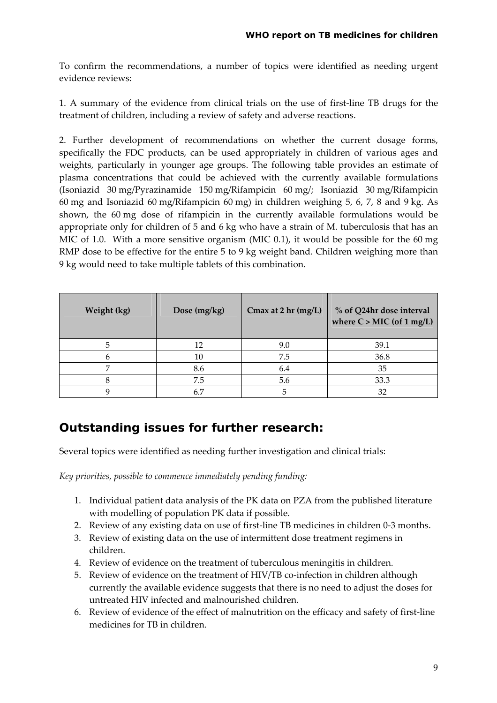To confirm the recommendations, a number of topics were identified as needing urgent evidence reviews:

1. A summary of the evidence from clinical trials on the use of first-line TB drugs for the treatment of children, including a review of safety and adverse reactions.

2. Further development of recommendations on whether the current dosage forms, specifically the FDC products, can be used appropriately in children of various ages and weights, particularly in younger age groups. The following table provides an estimate of plasma concentrations that could be achieved with the currently available formulations (Isoniazid 30 mg/Pyrazinamide 150 mg/Rifampicin 60 mg/; Isoniazid 30 mg/Rifampicin 60 mg and Isoniazid 60 mg/Rifampicin 60 mg) in children weighing 5, 6, 7, 8 and 9 kg. As shown, the 60 mg dose of rifampicin in the currently available formulations would be appropriate only for children of 5 and 6 kg who have a strain of M. tuberculosis that has an MIC of 1.0. With a more sensitive organism (MIC 0.1), it would be possible for the 60 mg RMP dose to be effective for the entire 5 to 9 kg weight band. Children weighing more than 9 kg would need to take multiple tablets of this combination.

| Weight (kg) | Dose $(mg/kg)$ | Cmax at 2 hr (mg/L) | % of Q24hr dose interval<br>where $C >$ MIC (of 1 mg/L) |
|-------------|----------------|---------------------|---------------------------------------------------------|
|             | 12             | 9.0                 | 39.1                                                    |
| n           | 10             | 7.5                 | 36.8                                                    |
|             | 8.6            | 6.4                 | 35                                                      |
|             | 7.5            | 5.6                 | 33.3                                                    |
|             | 67             |                     | 32                                                      |

### **Outstanding issues for further research:**

Several topics were identified as needing further investigation and clinical trials:

*Key priorities, possible to commence immediately pending funding:*

- 1. Individual patient data analysis of the PK data on PZA from the published literature with modelling of population PK data if possible.
- 2. Review of any existing data on use of first‐line TB medicines in children 0‐3 months.
- 3. Review of existing data on the use of intermittent dose treatment regimens in children.
- 4. Review of evidence on the treatment of tuberculous meningitis in children.
- 5. Review of evidence on the treatment of HIV/TB co-infection in children although currently the available evidence suggests that there is no need to adjust the doses for untreated HIV infected and malnourished children.
- 6. Review of evidence of the effect of malnutrition on the efficacy and safety of first‐line medicines for TB in children.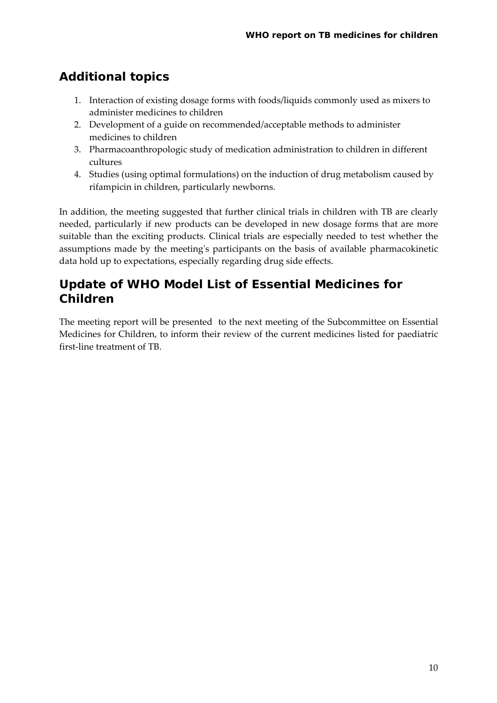## **Additional topics**

- 1. Interaction of existing dosage forms with foods/liquids commonly used as mixers to administer medicines to children
- 2. Development of a guide on recommended/acceptable methods to administer medicines to children
- 3. Pharmacoanthropologic study of medication administration to children in different cultures
- 4. Studies (using optimal formulations) on the induction of drug metabolism caused by rifampicin in children, particularly newborns.

In addition, the meeting suggested that further clinical trials in children with TB are clearly needed, particularly if new products can be developed in new dosage forms that are more suitable than the exciting products. Clinical trials are especially needed to test whether the assumptions made by the meetingʹs participants on the basis of available pharmacokinetic data hold up to expectations, especially regarding drug side effects.

## **Update of WHO Model List of Essential Medicines for Children**

The meeting report will be presented to the next meeting of the Subcommittee on Essential Medicines for Children, to inform their review of the current medicines listed for paediatric first‐line treatment of TB.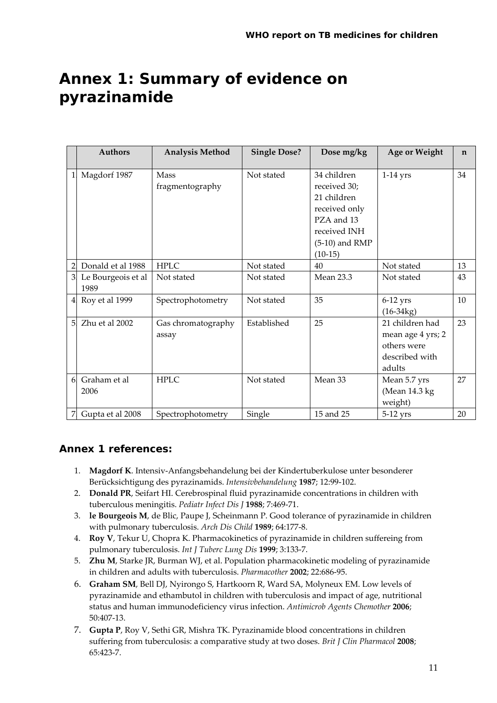## **Annex 1: Summary of evidence on pyrazinamide**

|                | <b>Authors</b>             | <b>Analysis Method</b>         | <b>Single Dose?</b> | Dose mg/kg                                                                                                                 | Age or Weight                                                                   | $\mathbf n$ |
|----------------|----------------------------|--------------------------------|---------------------|----------------------------------------------------------------------------------------------------------------------------|---------------------------------------------------------------------------------|-------------|
|                | Magdorf 1987               | <b>Mass</b><br>fragmentography | Not stated          | 34 children<br>received 30;<br>21 children<br>received only<br>PZA and 13<br>received INH<br>$(5-10)$ and RMP<br>$(10-15)$ | $1-14$ yrs                                                                      | 34          |
| $\mathfrak{D}$ | Donald et al 1988          | <b>HPLC</b>                    | Not stated          | 40                                                                                                                         | Not stated                                                                      | 13          |
| 3 <sub>l</sub> | Le Bourgeois et al<br>1989 | Not stated                     | Not stated          | <b>Mean 23.3</b>                                                                                                           | Not stated                                                                      | 43          |
| 4 <sub>l</sub> | Roy et al 1999             | Spectrophotometry              | Not stated          | 35                                                                                                                         | $6-12$ yrs<br>$(16-34kg)$                                                       | 10          |
| 5.             | Zhu et al 2002             | Gas chromatography<br>assay    | Established         | 25                                                                                                                         | 21 children had<br>mean age 4 yrs; 2<br>others were<br>described with<br>adults | 23          |
| 6 <sup>1</sup> | Graham et al<br>2006       | <b>HPLC</b>                    | Not stated          | Mean 33                                                                                                                    | Mean 5.7 yrs<br>(Mean 14.3 kg)<br>weight)                                       | 27          |
|                | Gupta et al 2008           | Spectrophotometry              | Single              | 15 and 25                                                                                                                  | 5-12 yrs                                                                        | 20          |

#### **Annex 1 references:**

- 1. **Magdorf K**. Intensiv‐Anfangsbehandelung bei der Kindertuberkulose unter besonderer Berücksichtigung des pyrazinamids. *Intensivbehandelung* **1987**; 12:99‐102.
- 2. **Donald PR**, Seifart HI. Cerebrospinal fluid pyrazinamide concentrations in children with tuberculous meningitis. *Pediatr Infect Dis J* **1988**; 7:469‐71.
- 3. **le Bourgeois M**, de Blic, Paupe J, Scheinmann P. Good tolerance of pyrazinamide in children with pulmonary tuberculosis. *Arch Dis Child* **1989**; 64:177‐8.
- 4. **Roy V**, Tekur U, Chopra K. Pharmacokinetics of pyrazinamide in children suffereing from pulmonary tuberculosis. *Int J Tuberc Lung Dis* **1999**; 3:133‐7.
- 5. **Zhu M**, Starke JR, Burman WJ, et al. Population pharmacokinetic modeling of pyrazinamide in children and adults with tuberculosis. *Pharmacother* **2002**; 22:686‐95.
- 6. **Graham SM**, Bell DJ, Nyirongo S, Hartkoorn R, Ward SA, Molyneux EM. Low levels of pyrazinamide and ethambutol in children with tuberculosis and impact of age, nutritional status and human immunodeficiency virus infection. *Antimicrob Agents Chemother* **2006**; 50:407‐13.
- 7. **Gupta P**, Roy V, Sethi GR, Mishra TK. Pyrazinamide blood concentrations in children suffering from tuberculosis: a comparative study at two doses. *Brit J Clin Pharmacol* **2008**; 65:423‐7.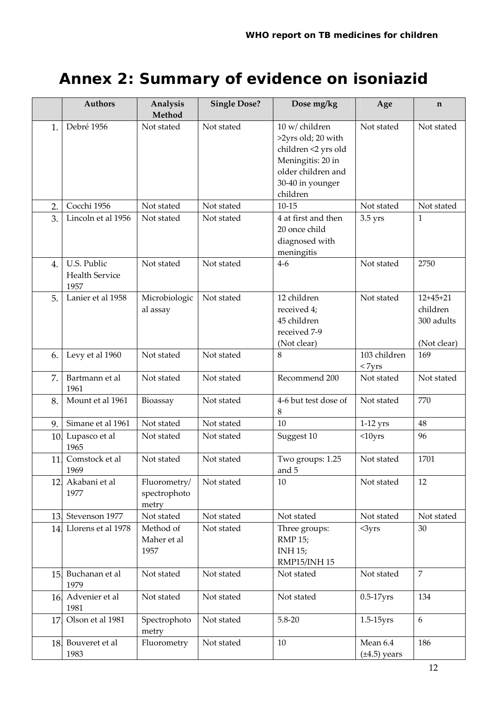# **Annex 2: Summary of evidence on isoniazid**

|     | <b>Authors</b>                               | Analysis<br>Method                    | <b>Single Dose?</b> | Dose mg/kg                                                                                                                             | Age                           | $\mathbf n$                                         |
|-----|----------------------------------------------|---------------------------------------|---------------------|----------------------------------------------------------------------------------------------------------------------------------------|-------------------------------|-----------------------------------------------------|
| 1.  | Debré 1956                                   | Not stated                            | Not stated          | 10 w/ children<br>>2yrs old; 20 with<br>children <2 yrs old<br>Meningitis: 20 in<br>older children and<br>30-40 in younger<br>children | Not stated                    | Not stated                                          |
| 2.  | Cocchi 1956                                  | Not stated                            | Not stated          | $10 - 15$                                                                                                                              | Not stated                    | Not stated                                          |
| 3.  | Lincoln et al 1956                           | Not stated                            | Not stated          | 4 at first and then<br>20 once child<br>diagnosed with<br>meningitis                                                                   | $3.5$ yrs                     | $\mathbf{1}$                                        |
| 4.  | U.S. Public<br><b>Health Service</b><br>1957 | Not stated                            | Not stated          | $4-6$                                                                                                                                  | Not stated                    | 2750                                                |
| 5.  | Lanier et al 1958                            | Microbiologic<br>al assay             | Not stated          | 12 children<br>received 4;<br>45 children<br>received 7-9<br>(Not clear)                                                               | Not stated                    | $12+45+21$<br>children<br>300 adults<br>(Not clear) |
| 6.  | Levy et al 1960                              | Not stated                            | Not stated          | 8                                                                                                                                      | 103 children<br>$<$ 7yrs      | 169                                                 |
| 7.  | Bartmann et al<br>1961                       | Not stated                            | Not stated          | Recommend 200                                                                                                                          | Not stated                    | Not stated                                          |
| 8.  | Mount et al 1961                             | Bioassay                              | Not stated          | 4-6 but test dose of<br>8                                                                                                              | Not stated                    | 770                                                 |
| 9.  | Simane et al 1961                            | Not stated                            | Not stated          | 10                                                                                                                                     | $1-12$ yrs                    | 48                                                  |
| 10. | Lupasco et al<br>1965                        | Not stated                            | Not stated          | Suggest 10                                                                                                                             | $<$ 10yrs                     | 96                                                  |
| 11. | Comstock et al<br>1969                       | Not stated                            | Not stated          | Two groups: 1.25<br>and 5                                                                                                              | Not stated                    | 1701                                                |
| 12. | Akabani et al<br>1977                        | Fluorometry/<br>spectrophoto<br>metry | Not stated          | 10                                                                                                                                     | Not stated                    | 12                                                  |
| 13. | Stevenson 1977                               | Not stated                            | Not stated          | Not stated                                                                                                                             | Not stated                    | Not stated                                          |
| 14. | Llorens et al 1978                           | Method of<br>Maher et al<br>1957      | Not stated          | Three groups:<br><b>RMP 15;</b><br><b>INH 15;</b><br>RMP15/INH 15                                                                      | $<$ 3yrs                      | 30                                                  |
| 15. | Buchanan et al<br>1979                       | Not stated                            | Not stated          | Not stated                                                                                                                             | Not stated                    | $\overline{7}$                                      |
| 16. | Advenier et al<br>1981                       | Not stated                            | Not stated          | Not stated                                                                                                                             | $0.5-17$ yrs                  | 134                                                 |
| 17  | Olson et al 1981                             | Spectrophoto<br>metry                 | Not stated          | $5.8 - 20$                                                                                                                             | $1.5-15$ yrs                  | 6                                                   |
| 18. | Bouveret et al<br>1983                       | Fluorometry                           | Not stated          | 10                                                                                                                                     | Mean 6.4<br>$(\pm 4.5)$ years | 186                                                 |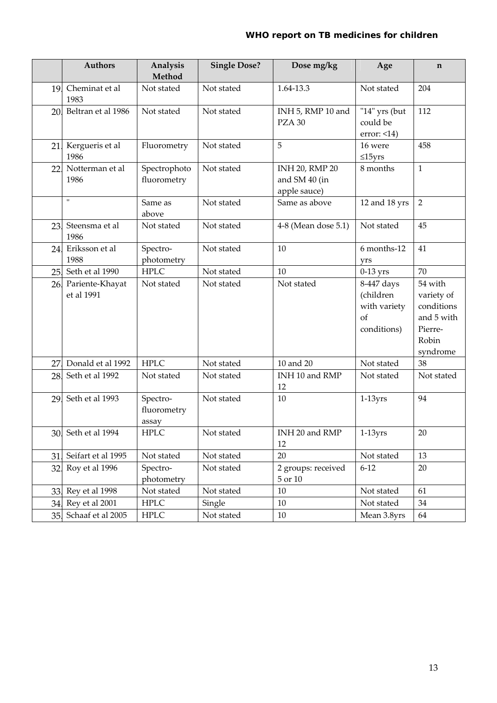|     | Authors                       | Analysis<br>Method               | <b>Single Dose?</b> | Dose mg/kg                                             | Age                                                          | $\mathbf n$                                                                       |
|-----|-------------------------------|----------------------------------|---------------------|--------------------------------------------------------|--------------------------------------------------------------|-----------------------------------------------------------------------------------|
| 19. | Cheminat et al<br>1983        | Not stated                       | Not stated          | 1.64-13.3                                              | Not stated                                                   | 204                                                                               |
| 20. | Beltran et al 1986            | Not stated                       | Not stated          | INH 5, RMP 10 and<br>PZA 30                            | "14" yrs (but<br>could be<br>$error: <14$ )                  | 112                                                                               |
| 21. | Kergueris et al<br>1986       | Fluorometry                      | Not stated          | 5                                                      | 16 were<br>$\leq 15$ yrs                                     | 458                                                                               |
| 22  | Notterman et al<br>1986       | Spectrophoto<br>fluorometry      | Not stated          | <b>INH 20, RMP 20</b><br>and SM 40 (in<br>apple sauce) | 8 months                                                     | $\mathbf{1}$                                                                      |
|     | $\pmb{\mathsf{H}}$            | Same as<br>above                 | Not stated          | Same as above                                          | 12 and 18 yrs                                                | $\overline{2}$                                                                    |
| 23. | Steensma et al<br>1986        | Not stated                       | Not stated          | 4-8 (Mean dose 5.1)                                    | Not stated                                                   | 45                                                                                |
| 24. | Eriksson et al<br>1988        | Spectro-<br>photometry           | Not stated          | 10                                                     | 6 months-12<br>yrs                                           | 41                                                                                |
| 25. | Seth et al 1990               | <b>HPLC</b>                      | Not stated          | 10                                                     | $0-13$ yrs                                                   | 70                                                                                |
| 26. | Pariente-Khayat<br>et al 1991 | Not stated                       | Not stated          | Not stated                                             | 8-447 days<br>(children<br>with variety<br>of<br>conditions) | 54 with<br>variety of<br>conditions<br>and 5 with<br>Pierre-<br>Robin<br>syndrome |
| 27  | Donald et al 1992             | <b>HPLC</b>                      | Not stated          | 10 and 20                                              | Not stated                                                   | 38                                                                                |
| 28. | Seth et al 1992               | Not stated                       | Not stated          | INH 10 and RMP<br>12                                   | Not stated                                                   | Not stated                                                                        |
| 29. | Seth et al 1993               | Spectro-<br>fluorometry<br>assay | Not stated          | 10                                                     | $1-13yrs$                                                    | 94                                                                                |
|     | 30 Seth et al 1994            | <b>HPLC</b>                      | Not stated          | INH 20 and RMP<br>12                                   | $1-13yrs$                                                    | 20                                                                                |
| 31. | Seifart et al 1995            | Not stated                       | Not stated          | 20                                                     | Not stated                                                   | 13                                                                                |
| 32. | Roy et al 1996                | Spectro-<br>photometry           | Not stated          | 2 groups: received<br>$5$ or $10\,$                    | $6 - 12$                                                     | 20                                                                                |
| 33. | Rey et al 1998                | Not stated                       | Not stated          | 10                                                     | Not stated                                                   | 61                                                                                |
|     | 34. Rey et al 2001            | <b>HPLC</b>                      | Single              | 10                                                     | Not stated                                                   | 34                                                                                |
|     | 35 Schaaf et al 2005          | <b>HPLC</b>                      | Not stated          | 10                                                     | Mean 3.8yrs                                                  | 64                                                                                |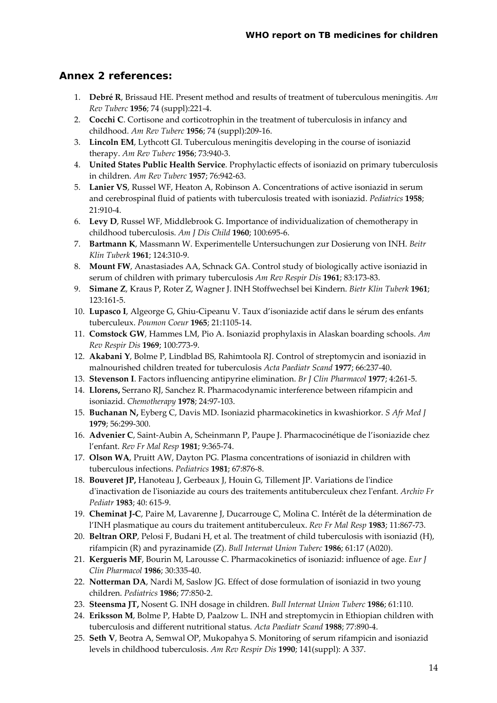#### **Annex 2 references:**

- 1. **Debré R**, Brissaud HE. Present method and results of treatment of tuberculous meningitis. *Am Rev Tuberc* **1956**; 74 (suppl):221‐4.
- 2. **Cocchi C**. Cortisone and corticotrophin in the treatment of tuberculosis in infancy and childhood. *Am Rev Tuberc* **1956**; 74 (suppl):209‐16.
- 3. **Lincoln EM**, Lythcott GI. Tuberculous meningitis developing in the course of isoniazid therapy. *Am Rev Tuberc* **1956**; 73:940‐3.
- 4. **United States Public Health Service**. Prophylactic effects of isoniazid on primary tuberculosis in children. *Am Rev Tuberc* **1957**; 76:942‐63.
- 5. **Lanier VS**, Russel WF, Heaton A, Robinson A. Concentrations of active isoniazid in serum and cerebrospinal fluid of patients with tuberculosis treated with isoniazid. *Pediatrics* **1958**; 21:910‐4.
- 6. **Levy D**, Russel WF, Middlebrook G. Importance of individualization of chemotherapy in childhood tuberculosis. *Am J Dis Child* **1960**; 100:695‐6.
- 7. **Bartmann K**, Massmann W. Experimentelle Untersuchungen zur Dosierung von INH. *Beitr Klin Tuberk* **1961**; 124:310‐9.
- 8. **Mount FW**, Anastasiades AA, Schnack GA. Control study of biologically active isoniazid in serum of children with primary tuberculosis *Am Rev Respir Dis* **1961**; 83:173‐83.
- 9. **Simane Z**, Kraus P, Roter Z, Wagner J. INH Stoffwechsel bei Kindern. *Bietr Klin Tuberk* **1961**; 123:161‐5.
- 10. **Lupasco I**, Algeorge G, Ghiu‐Cipeanu V. Taux d'isoniazide actif dans le sérum des enfants tuberculeux. *Poumon Coeur* **1965**; 21:1105‐14.
- 11. **Comstock GW**, Hammes LM, Pio A. Isoniazid prophylaxis in Alaskan boarding schools. *Am Rev Respir Dis* **1969**; 100:773‐9.
- 12. **Akabani Y**, Bolme P, Lindblad BS, Rahimtoola RJ. Control of streptomycin and isoniazid in malnourished children treated for tuberculosis *Acta Paediatr Scand* **1977**; 66:237‐40.
- 13. **Stevenson I**. Factors influencing antipyrine elimination. *Br J Clin Pharmacol* **1977**; 4:261‐5.
- 14. **Llorens,** Serrano RJ, Sanchez R. Pharmacodynamic interference between rifampicin and isoniazid. *Chemotherapy* **1978**; 24:97‐103.
- 15. **Buchanan N,** Eyberg C, Davis MD. Isoniazid pharmacokinetics in kwashiorkor. *S Afr Med J* **1979**; 56:299‐300.
- 16. **Advenier C**, Saint‐Aubin A, Scheinmann P, Paupe J. Pharmacocinétique de l'isoniazide chez l'enfant. *Rev Fr Mal Resp* **1981**; 9:365‐74.
- 17. **Olson WA**, Pruitt AW, Dayton PG. Plasma concentrations of isoniazid in children with tuberculous infections. *Pediatrics* **1981**; 67:876‐8.
- 18. **Bouveret JP,** Hanoteau J, Gerbeaux J, Houin G, Tillement JP. Variations de lʹindice dʹinactivation de lʹisoniazide au cours des traitements antituberculeux chez lʹenfant. *Archiv Fr Pediatr* **1983**; 40: 615‐9.
- 19. **Cheminat J‐C**, Paire M, Lavarenne J, Ducarrouge C, Molina C. Intérêt de la détermination de l'INH plasmatique au cours du traitement antituberculeux. *Rev Fr Mal Resp* **1983**; 11:867‐73.
- 20. **Beltran ORP**, Pelosi F, Budani H, et al. The treatment of child tuberculosis with isoniazid (H), rifampicin (R) and pyrazinamide (Z). *Bull Internat Union Tuberc* **1986**; 61:17 (A020).
- 21. **Kergueris MF**, Bourin M, Larousse C. Pharmacokinetics of isoniazid: influence of age. *Eur J Clin Pharmacol* **1986**; 30:335‐40.
- 22. **Notterman DA**, Nardi M, Saslow JG. Effect of dose formulation of isoniazid in two young children. *Pediatrics* **1986**; 77:850‐2.
- 23. **Steensma JT,** Nosent G. INH dosage in children. *Bull Internat Union Tuberc* **1986**; 61:110.
- 24. **Eriksson M**, Bolme P, Habte D, Paalzow L. INH and streptomycin in Ethiopian children with tuberculosis and different nutritional status. *Acta Paediatr Scand* **1988**; 77:890‐4.
- 25. **Seth V**, Beotra A, Semwal OP, Mukopahya S. Monitoring of serum rifampicin and isoniazid levels in childhood tuberculosis. *Am Rev Respir Dis* **1990**; 141(suppl): A 337.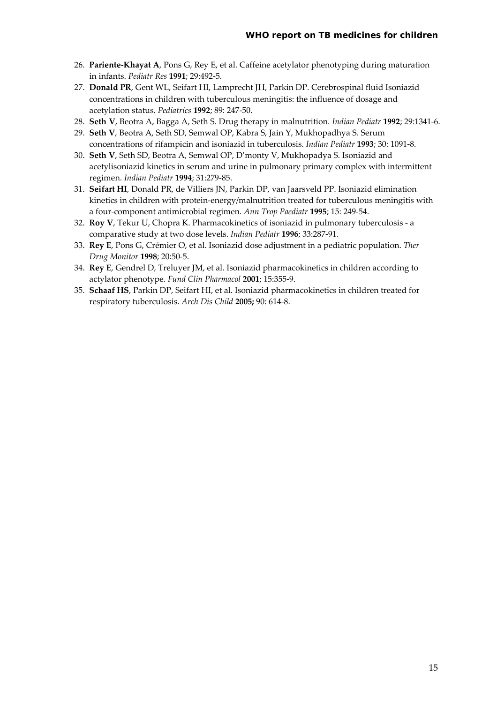- 26. **Pariente‐Khayat A**, Pons G, Rey E, et al. Caffeine acetylator phenotyping during maturation in infants. *Pediatr Res* **1991**; 29:492‐5.
- 27. **Donald PR**, Gent WL, Seifart HI, Lamprecht JH, Parkin DP. Cerebrospinal fluid Isoniazid concentrations in children with tuberculous meningitis: the influence of dosage and acetylation status. *Pediatrics* **1992**; 89: 247‐50.
- 28. **Seth V**, Beotra A, Bagga A, Seth S. Drug therapy in malnutrition. *Indian Pediatr* **1992**; 29:1341‐6.
- 29. **Seth V**, Beotra A, Seth SD, Semwal OP, Kabra S, Jain Y, Mukhopadhya S. Serum concentrations of rifampicin and isoniazid in tuberculosis. *Indian Pediatr* **1993**; 30: 1091‐8.
- 30. **Seth V**, Seth SD, Beotra A, Semwal OP, D'monty V, Mukhopadya S. Isoniazid and acetylisoniazid kinetics in serum and urine in pulmonary primary complex with intermittent regimen. *Indian Pediatr* **1994**; 31:279‐85.
- 31. **Seifart HI**, Donald PR, de Villiers JN, Parkin DP, van Jaarsveld PP. Isoniazid elimination kinetics in children with protein-energy/malnutrition treated for tuberculous meningitis with a four‐component antimicrobial regimen. *Ann Trop Paediatr* **1995**; 15: 249‐54.
- 32. **Roy V**, Tekur U, Chopra K. Pharmacokinetics of isoniazid in pulmonary tuberculosis ‐ a comparative study at two dose levels. *Indian Pediatr* **1996**; 33:287‐91.
- 33. **Rey E**, Pons G, Crémier O, et al. Isoniazid dose adjustment in a pediatric population. *Ther Drug Monitor* **1998**; 20:50‐5.
- 34. **Rey E**, Gendrel D, Treluyer JM, et al. Isoniazid pharmacokinetics in children according to actylator phenotype. *Fund Clin Pharmacol* **2001**; 15:355‐9.
- 35. **Schaaf HS**, Parkin DP, Seifart HI, et al. Isoniazid pharmacokinetics in children treated for respiratory tuberculosis. *Arch Dis Child* **2005;** 90: 614‐8.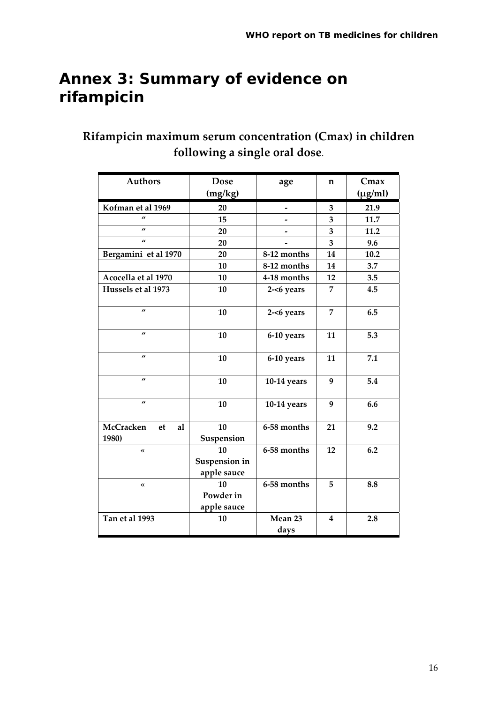## **Annex 3: Summary of evidence on rifampicin**

## **Rifampicin maximum serum concentration (Cmax) in children following a single oral dose**.

| <b>Authors</b>                 | <b>Dose</b>                        | age             | n                       | Cmax         |
|--------------------------------|------------------------------------|-----------------|-------------------------|--------------|
|                                | (mg/kg)                            |                 |                         | $(\mu g/ml)$ |
| Kofman et al 1969              | 20                                 |                 | 3                       | 21.9         |
| $\mathbf{u}$                   | 15                                 |                 | 3                       | 11.7         |
| $\mathbf{u}$                   | 20                                 |                 | 3                       | 11.2         |
| $\boldsymbol{u}$               | 20                                 |                 | 3                       | 9.6          |
| Bergamini et al 1970           | 20                                 | 8-12 months     | 14                      | 10.2         |
|                                | 10                                 | 8-12 months     | 14                      | 3.7          |
| Acocella et al 1970            | 10                                 | 4-18 months     | 12                      | 3.5          |
| Hussels et al 1973             | 10                                 | $2 - 6$ years   | 7                       | 4.5          |
| $\boldsymbol{u}$               | 10                                 | $2 - 6$ years   | 7                       | 6.5          |
| $\mathbf{u}$                   | 10                                 | 6-10 years      | 11                      | 5.3          |
| $\boldsymbol{u}$               | 10                                 | 6-10 years      | 11                      | 7.1          |
| $\boldsymbol{\mu}$             | 10                                 | 10-14 years     | 9                       | 5.4          |
| $\boldsymbol{u}$               | 10                                 | $10-14$ years   | 9                       | 6.6          |
| McCracken<br>al<br>et<br>1980) | 10<br>Suspension                   | 6-58 months     | 21                      | 9.2          |
| $\overline{\bf{X}}$            | 10<br>Suspension in<br>apple sauce | 6-58 months     | 12                      | 6.2          |
| $\pmb{\langle} \pmb{\langle}$  | 10<br>Powder in<br>apple sauce     | 6-58 months     | 5                       | 8.8          |
| Tan et al 1993                 | 10                                 | Mean 23<br>days | $\overline{\mathbf{4}}$ | 2.8          |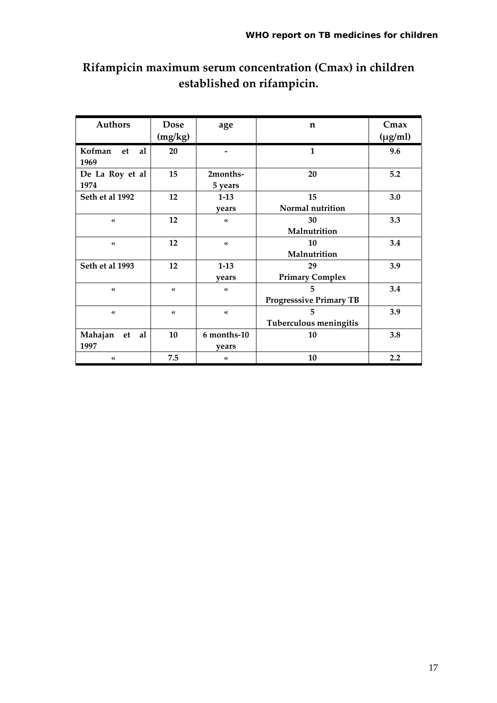| <b>Authors</b>                | <b>Dose</b>                   | age               | $\mathbf n$                    | Cmax         |
|-------------------------------|-------------------------------|-------------------|--------------------------------|--------------|
|                               | (mg/kg)                       |                   |                                | $(\mu g/ml)$ |
| Kofman<br>al<br>et            | 20                            |                   | $\mathbf{1}$                   | 9.6          |
| 1969                          |                               |                   |                                |              |
| De La Roy et al               | 15                            | 2months-          | 20                             | 5.2          |
| 1974                          |                               | 5 years           |                                |              |
| Seth et al 1992               | 12                            | $1-13$            | 15                             | 3.0          |
|                               |                               | years             | Normal nutrition               |              |
| $\leftrightarrow$             | 12                            | $\ll$             | 30                             | 3.3          |
|                               |                               |                   | Malnutrition                   |              |
| $\ll$                         | 12                            | $\leftrightarrow$ | 10                             | 3.4          |
|                               |                               |                   | Malnutrition                   |              |
| Seth et al 1993               | 12                            | $1-13$            | 29                             | 3.9          |
|                               |                               | vears             | <b>Primary Complex</b>         |              |
| $\ll$                         | $\pmb{\langle} \pmb{\langle}$ | $\ll$             | 5                              | 3.4          |
|                               |                               |                   | <b>Progresssive Primary TB</b> |              |
| $\pmb{\langle} \pmb{\langle}$ | $\leftrightarrow$             | $\ll$             | 5                              | 3.9          |
|                               |                               |                   | Tuberculous meningitis         |              |
| Mahajan<br>et<br>al           | 10                            | 6 months-10       | 10                             | 3.8          |
| 1997                          |                               | years             |                                |              |
| $\pmb{\langle} \pmb{\langle}$ | 7.5                           |                   | 10                             | 2.2          |

## **Rifampicin maximum serum concentration (Cmax) in children established on rifampicin.**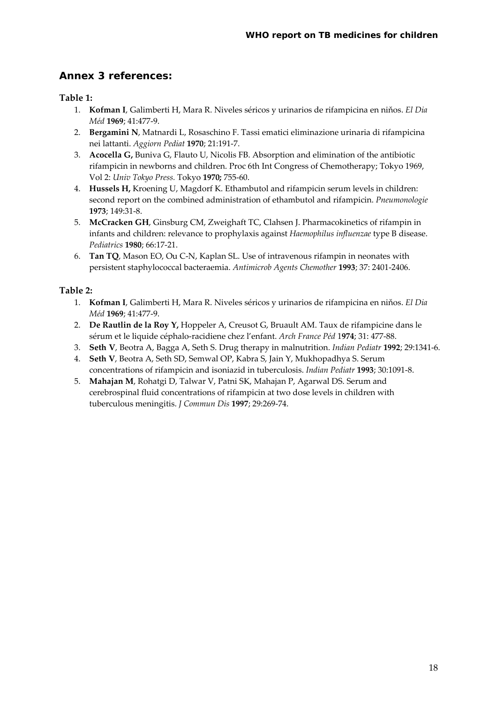#### **Annex 3 references:**

#### **Table 1:**

- 1. **Kofman I**, Galimberti H, Mara R. Niveles séricos y urinarios de rifampicina en niňos. *El Dia Méd* **1969**; 41:477‐9.
- 2. **Bergamini N**, Matnardi L, Rosaschino F. Tassi ematici eliminazione urinaria di rifampicina nei lattanti. *Aggiorn Pediat* **1970**; 21:191‐7.
- 3. **Acocella G,** Buniva G, Flauto U, Nicolis FB. Absorption and elimination of the antibiotic rifampicin in newborns and children. Proc 6th Int Congress of Chemotherapy; Tokyo 1969, Vol 2: *Univ Tokyo Press.* Tokyo **1970;** 755‐60.
- 4. **Hussels H,** Kroening U, Magdorf K. Ethambutol and rifampicin serum levels in children: second report on the combined administration of ethambutol and rifampicin. *Pneumonologie* **1973**; 149:31‐8.
- 5. **McCracken GH**, Ginsburg CM, Zweighaft TC, Clahsen J. Pharmacokinetics of rifampin in infants and children: relevance to prophylaxis against *Haemophilus influenzae* type B disease. *Pediatrics* **1980**; 66:17‐21.
- 6. **Tan TQ**, Mason EO, Ou C‐N, Kaplan SL. Use of intravenous rifampin in neonates with persistent staphylococcal bacteraemia. *Antimicrob Agents Chemother* **1993**; 37: 2401‐2406.

#### **Table 2:**

- 1. **Kofman I**, Galimberti H, Mara R. Niveles séricos y urinarios de rifampicina en niňos. *El Dia Méd* **1969**; 41:477‐9.
- 2. **De Rautlin de la Roy Y,** Hoppeler A, Creusot G, Bruault AM. Taux de rifampicine dans le sérum et le liquide céphalo‐racidiene chez l'enfant. *Arch France Péd* 1**974**; 31: 477‐88.
- 3. **Seth V**, Beotra A, Bagga A, Seth S. Drug therapy in malnutrition. *Indian Pediatr* **1992**; 29:1341‐6.
- 4. **Seth V**, Beotra A, Seth SD, Semwal OP, Kabra S, Jain Y, Mukhopadhya S. Serum concentrations of rifampicin and isoniazid in tuberculosis. *Indian Pediatr* **1993**; 30:1091‐8.
- 5. **Mahajan M**, Rohatgi D, Talwar V, Patni SK, Mahajan P, Agarwal DS. Serum and cerebrospinal fluid concentrations of rifampicin at two dose levels in children with tuberculous meningitis. *J Commun Dis* **1997**; 29:269‐74.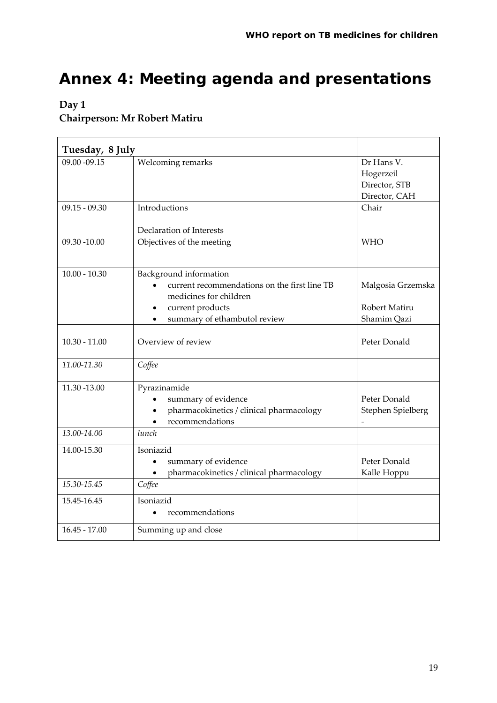# **Annex 4: Meeting agenda and presentations**

#### **Day 1 Chairperson: Mr Robert Matiru**

| Tuesday, 8 July |                                                                                                                                                                                |                                                           |
|-----------------|--------------------------------------------------------------------------------------------------------------------------------------------------------------------------------|-----------------------------------------------------------|
| 09.00 -09.15    | Welcoming remarks                                                                                                                                                              | Dr Hans V.<br>Hogerzeil<br>Director, STB<br>Director, CAH |
| $09.15 - 09.30$ | Introductions                                                                                                                                                                  | Chair                                                     |
|                 | Declaration of Interests                                                                                                                                                       |                                                           |
| 09.30 -10.00    | Objectives of the meeting                                                                                                                                                      | <b>WHO</b>                                                |
| $10.00 - 10.30$ | Background information<br>current recommendations on the first line TB<br>medicines for children<br>current products<br>$\bullet$<br>summary of ethambutol review<br>$\bullet$ | Malgosia Grzemska<br>Robert Matiru<br>Shamim Qazi         |
| $10.30 - 11.00$ | Overview of review                                                                                                                                                             | Peter Donald                                              |
| 11.00-11.30     | Coffee                                                                                                                                                                         |                                                           |
| 11.30 -13.00    | Pyrazinamide<br>summary of evidence<br>pharmacokinetics / clinical pharmacology<br>$\bullet$<br>recommendations                                                                | Peter Donald<br>Stephen Spielberg                         |
| 13.00-14.00     | lunch                                                                                                                                                                          |                                                           |
| 14.00-15.30     | Isoniazid<br>summary of evidence<br>pharmacokinetics / clinical pharmacology<br>$\bullet$                                                                                      | Peter Donald<br>Kalle Hoppu                               |
| 15.30-15.45     | Coffee                                                                                                                                                                         |                                                           |
| 15.45-16.45     | Isoniazid<br>recommendations<br>$\bullet$                                                                                                                                      |                                                           |
| $16.45 - 17.00$ | Summing up and close                                                                                                                                                           |                                                           |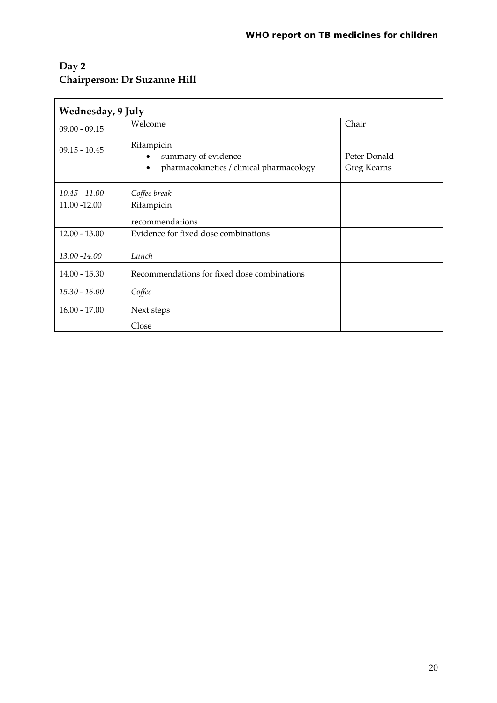### **Day 2 Chairperson: Dr Suzanne Hill**

| Wednesday, 9 July |                                                                                            |                             |  |  |  |
|-------------------|--------------------------------------------------------------------------------------------|-----------------------------|--|--|--|
| $09.00 - 09.15$   | Welcome                                                                                    | Chair                       |  |  |  |
| $09.15 - 10.45$   | Rifampicin<br>summary of evidence<br>pharmacokinetics / clinical pharmacology<br>$\bullet$ | Peter Donald<br>Greg Kearns |  |  |  |
| $10.45 - 11.00$   | Coffee break                                                                               |                             |  |  |  |
| 11.00 -12.00      | Rifampicin                                                                                 |                             |  |  |  |
|                   | recommendations                                                                            |                             |  |  |  |
| $12.00 - 13.00$   | Evidence for fixed dose combinations                                                       |                             |  |  |  |
| 13.00 - 14.00     | Lunch                                                                                      |                             |  |  |  |
| $14.00 - 15.30$   | Recommendations for fixed dose combinations                                                |                             |  |  |  |
| $15.30 - 16.00$   | Coffee                                                                                     |                             |  |  |  |
| $16.00 - 17.00$   | Next steps                                                                                 |                             |  |  |  |
|                   | Close                                                                                      |                             |  |  |  |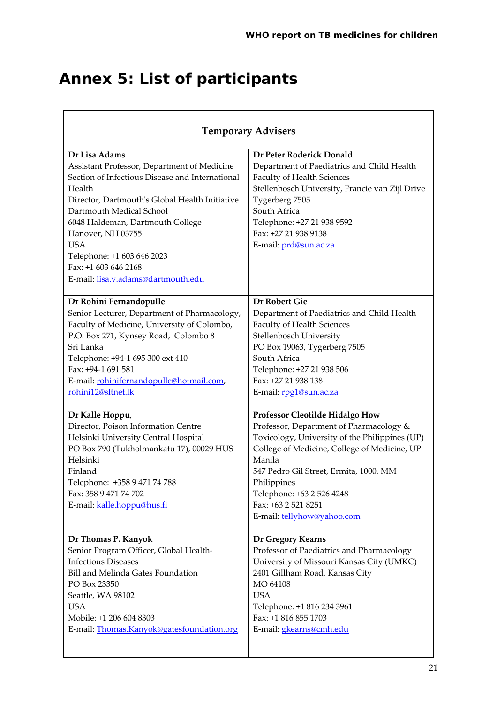# **Annex 5: List of participants**

| <b>Temporary Advisers</b>                                                                                                                                                                                                                                                                                                                                                  |                                                                                                                                                                                                                                                                                                                                          |  |
|----------------------------------------------------------------------------------------------------------------------------------------------------------------------------------------------------------------------------------------------------------------------------------------------------------------------------------------------------------------------------|------------------------------------------------------------------------------------------------------------------------------------------------------------------------------------------------------------------------------------------------------------------------------------------------------------------------------------------|--|
| Dr Lisa Adams<br>Assistant Professor, Department of Medicine<br>Section of Infectious Disease and International<br>Health<br>Director, Dartmouth's Global Health Initiative<br>Dartmouth Medical School<br>6048 Haldeman, Dartmouth College<br>Hanover, NH 03755<br><b>USA</b><br>Telephone: +1 603 646 2023<br>Fax: +1 603 646 2168<br>E-mail: lisa.v.adams@dartmouth.edu | Dr Peter Roderick Donald<br>Department of Paediatrics and Child Health<br>Faculty of Health Sciences<br>Stellenbosch University, Francie van Zijl Drive<br>Tygerberg 7505<br>South Africa<br>Telephone: +27 21 938 9592<br>Fax: +27 21 938 9138<br>E-mail: prd@sun.ac.za                                                                 |  |
| Dr Rohini Fernandopulle<br>Senior Lecturer, Department of Pharmacology,<br>Faculty of Medicine, University of Colombo,<br>P.O. Box 271, Kynsey Road, Colombo 8<br>Sri Lanka<br>Telephone: +94-1 695 300 ext 410<br>Fax: +94-1 691 581<br>E-mail: rohinifernandopulle@hotmail.com,<br>rohini12@sltnet.lk                                                                    | <b>Dr Robert Gie</b><br>Department of Paediatrics and Child Health<br><b>Faculty of Health Sciences</b><br>Stellenbosch University<br>PO Box 19063, Tygerberg 7505<br>South Africa<br>Telephone: +27 21 938 506<br>Fax: +27 21 938 138<br>E-mail: rpg1@sun.ac.za                                                                         |  |
| Dr Kalle Hoppu,<br>Director, Poison Information Centre<br>Helsinki University Central Hospital<br>PO Box 790 (Tukholmankatu 17), 00029 HUS<br>Helsinki<br>Finland<br>Telephone: +358 9 471 74 788<br>Fax: 358 9 471 74 702<br>E-mail: kalle.hoppu@hus.fi                                                                                                                   | Professor Cleotilde Hidalgo How<br>Professor, Department of Pharmacology &<br>Toxicology, University of the Philippines (UP)<br>College of Medicine, College of Medicine, UP<br>Manila<br>547 Pedro Gil Street, Ermita, 1000, MM<br>Philippines<br>Telephone: +63 2 526 4248<br>Fax: +63 2 521 8251<br>E-mail: <b>tellyhow@yahoo.com</b> |  |
| Dr Thomas P. Kanyok<br>Senior Program Officer, Global Health-<br><b>Infectious Diseases</b><br>Bill and Melinda Gates Foundation<br>PO Box 23350<br>Seattle, WA 98102<br><b>USA</b><br>Mobile: +1 206 604 8303<br>E-mail: Thomas.Kanyok@gatesfoundation.org                                                                                                                | Dr Gregory Kearns<br>Professor of Paediatrics and Pharmacology<br>University of Missouri Kansas City (UMKC)<br>2401 Gillham Road, Kansas City<br>MO 64108<br><b>USA</b><br>Telephone: +1 816 234 3961<br>Fax: +1 816 855 1703<br>E-mail: gkearns@cmh.edu                                                                                 |  |